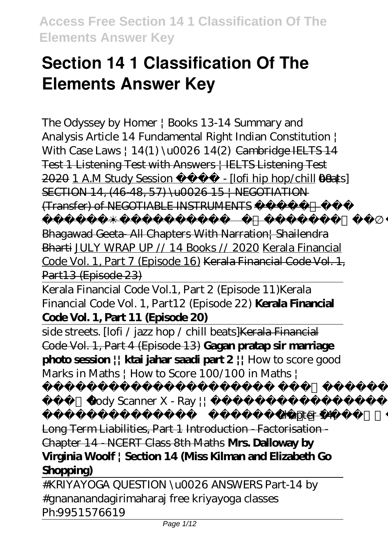# **Section 14 1 Classification Of The Elements Answer Key**

The Odyssey by Homer | Books 13-14 Summary and Analysis *Article 14 Fundamental Right Indian Constitution | With Case Laws | 14(1) \u0026 14(2)* Cambridge IELTS 14 Test 1 Listening Test with Answers | IELTS Listening Test  $2020$  1 AM Study Session -  $[$ lofi hip hop/chill beat $\frac{100}{2}$ SECTION 14, (46-48, 57) \u0026 15 | NEGOTIATION (Transfer) of NEGOTIABLE INSTRUMENTS -

Bhagawad Geeta- All Chapters With Narration| Shailendra Bharti JULY WRAP UP // 14 Books // 2020 Kerala Financial Code Vol. 1, Part 7 (Episode 16) Kerala Financial Code Vol. 1, Part13 (Episode 23)

भगवद गीता सार | संपूर्ण गीता |

Kerala Financial Code Vol.1, Part 2 (Episode 11)*Kerala Financial Code Vol. 1, Part12 (Episode 22)* **Kerala Financial Code Vol. 1, Part 11 (Episode 20)**

side streets. [lofi / jazz hop / chill beats]Kerala Financial Code Vol. 1, Part 4 (Episode 13) **Gagan pratap sir marriage photo session || ktai jahar saadi part 2 ||** *How to score good Marks in Maths | How to Score 100/100 in Maths |*

*Body Scanner X - Ray ||* 

*को नंगा कर देगा || Undressed App* Chapter 14,

Long Term Liabilities, Part 1 Introduction - Factorisation - Chapter 14 - NCERT Class 8th Maths **Mrs. Dalloway by Virginia Woolf | Section 14 (Miss Kilman and Elizabeth Go Shopping)**

#KRIYAYOGA QUESTION \u0026 ANSWERS Part-14 by #gnananandagirimaharaj free kriyayoga classes Ph:9951576619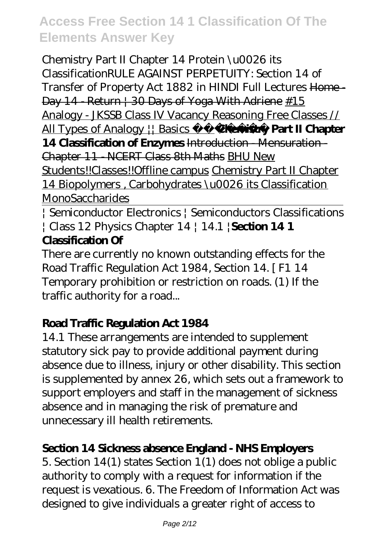Chemistry Part II Chapter 14 Protein \u0026 its Classification*RULE AGAINST PERPETUITY: Section 14 of Transfer of Property Act 1882 in HINDI Full Lectures* Home - Day 14 Return | 30 Days of Yoga With Adriene #15 Analogy - JKSSB Class IV Vacancy Reasoning Free Classes // All Types of Analogy || Basics **Chemistry Part II Chapter 14 Classification of Enzymes** Introduction - Mensuration - Chapter 11 - NCERT Class 8th Maths BHU New Students!!Classes!!Offline campus Chemistry Part II Chapter 14 Biopolymers , Carbohydrates \u0026 its Classification **MonoSaccharides** 

| Semiconductor Electronics | Semiconductors Classifications | Class 12 Physics Chapter 14 | 14.1 |**Section 14 1 Classification Of**

There are currently no known outstanding effects for the Road Traffic Regulation Act 1984, Section 14. [ F1 14 Temporary prohibition or restriction on roads. (1) If the traffic authority for a road...

# **Road Traffic Regulation Act 1984**

14.1 These arrangements are intended to supplement statutory sick pay to provide additional payment during absence due to illness, injury or other disability. This section is supplemented by annex 26, which sets out a framework to support employers and staff in the management of sickness absence and in managing the risk of premature and unnecessary ill health retirements.

### **Section 14 Sickness absence England - NHS Employers**

5. Section 14(1) states Section 1(1) does not oblige a public authority to comply with a request for information if the request is vexatious. 6. The Freedom of Information Act was designed to give individuals a greater right of access to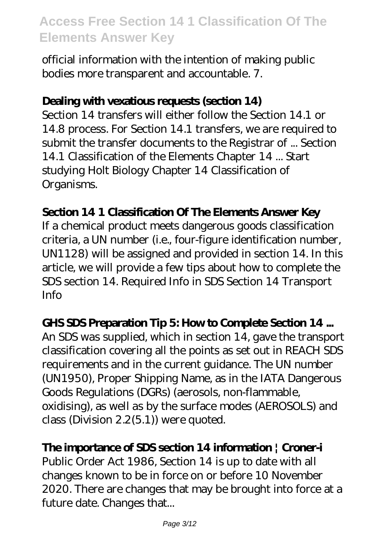official information with the intention of making public bodies more transparent and accountable. 7.

#### **Dealing with vexatious requests (section 14)**

Section 14 transfers will either follow the Section 14.1 or 14.8 process. For Section 14.1 transfers, we are required to submit the transfer documents to the Registrar of ... Section 14.1 Classification of the Elements Chapter 14 ... Start studying Holt Biology Chapter 14 Classification of Organisms.

#### **Section 14 1 Classification Of The Elements Answer Key**

If a chemical product meets dangerous goods classification criteria, a UN number (i.e., four-figure identification number, UN1128) will be assigned and provided in section 14. In this article, we will provide a few tips about how to complete the SDS section 14. Required Info in SDS Section 14 Transport Info

#### **GHS SDS Preparation Tip 5: How to Complete Section 14 ...**

An SDS was supplied, which in section 14, gave the transport classification covering all the points as set out in REACH SDS requirements and in the current guidance. The UN number (UN1950), Proper Shipping Name, as in the IATA Dangerous Goods Regulations (DGRs) (aerosols, non-flammable, oxidising), as well as by the surface modes (AEROSOLS) and class (Division 2.2(5.1)) were quoted.

#### **The importance of SDS section 14 information | Croner-i**

Public Order Act 1986, Section 14 is up to date with all changes known to be in force on or before 10 November 2020. There are changes that may be brought into force at a future date. Changes that...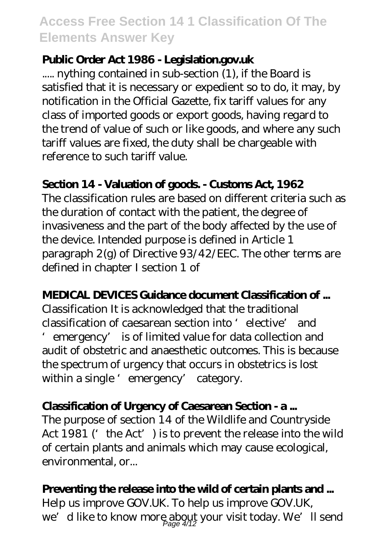## **Public Order Act 1986 - Legislation.gov.uk**

..... nything contained in sub-section (1), if the Board is satisfied that it is necessary or expedient so to do, it may, by notification in the Official Gazette, fix tariff values for any class of imported goods or export goods, having regard to the trend of value of such or like goods, and where any such tariff values are fixed, the duty shall be chargeable with reference to such tariff value.

### **Section 14 - Valuation of goods. - Customs Act, 1962**

The classification rules are based on different criteria such as the duration of contact with the patient, the degree of invasiveness and the part of the body affected by the use of the device. Intended purpose is defined in Article 1 paragraph 2(g) of Directive 93/42/EEC. The other terms are defined in chapter I section 1 of

# **MEDICAL DEVICES Guidance document Classification of ...**

Classification It is acknowledged that the traditional classification of caesarean section into 'elective' and 'emergency' is of limited value for data collection and audit of obstetric and anaesthetic outcomes. This is because the spectrum of urgency that occurs in obstetrics is lost within a single 'emergency' category.

### **Classification of Urgency of Caesarean Section - a ...**

The purpose of section 14 of the Wildlife and Countryside Act 1981 ('the Act') is to prevent the release into the wild of certain plants and animals which may cause ecological, environmental, or...

# **Preventing the release into the wild of certain plants and ...**

Help us improve GOV.UK. To help us improve GOV.UK, we'd like to know more about your visit today. We'll send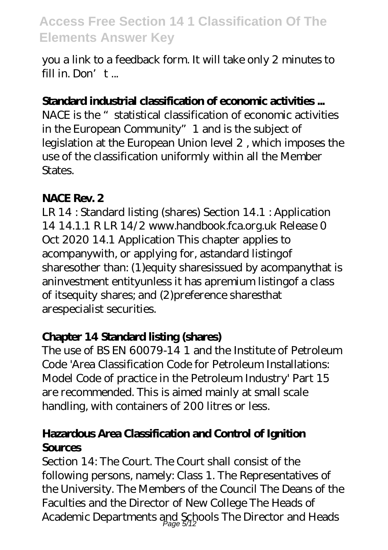you a link to a feedback form. It will take only 2 minutes to fill in. Don't ...

### **Standard industrial classification of economic activities ...**

NACE is the " statistical classification of economic activities in the European Community"1 and is the subject of legislation at the European Union level 2 , which imposes the use of the classification uniformly within all the Member States.

#### **NACE Rev. 2**

LR 14 : Standard listing (shares) Section 14.1 : Application 14 14.1.1 R LR 14/2 www.handbook.fca.org.uk Release 0 Oct 2020 14.1 Application This chapter applies to acompanywith, or applying for, astandard listingof sharesother than: (1)equity sharesissued by acompanythat is aninvestment entityunless it has apremium listingof a class of itsequity shares; and (2)preference sharesthat arespecialist securities.

# **Chapter 14 Standard listing (shares)**

The use of BS EN 60079-14 1 and the Institute of Petroleum Code 'Area Classification Code for Petroleum Installations: Model Code of practice in the Petroleum Industry' Part 15 are recommended. This is aimed mainly at small scale handling, with containers of 200 litres or less.

## **Hazardous Area Classification and Control of Ignition Sources**

Section 14: The Court. The Court shall consist of the following persons, namely: Class 1. The Representatives of the University. The Members of the Council The Deans of the Faculties and the Director of New College The Heads of Academic Departments and Schools The Director and Heads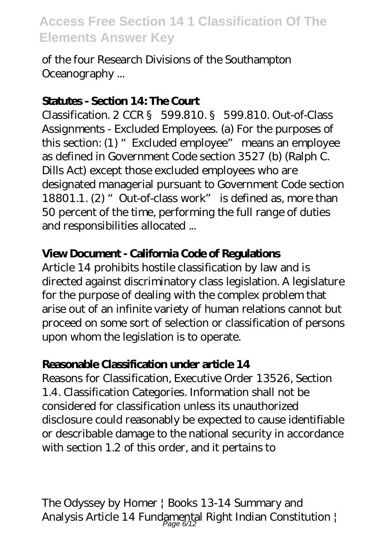of the four Research Divisions of the Southampton Oceanography ...

#### **Statutes - Section 14: The Court**

Classification. 2 CCR § 599.810. § 599.810. Out-of-Class Assignments - Excluded Employees. (a) For the purposes of this section: (1) "Excluded employee" means an employee as defined in Government Code section 3527 (b) (Ralph C. Dills Act) except those excluded employees who are designated managerial pursuant to Government Code section 18801.1. (2) "Out-of-class work" is defined as, more than 50 percent of the time, performing the full range of duties and responsibilities allocated ...

# **View Document - California Code of Regulations**

Article 14 prohibits hostile classification by law and is directed against discriminatory class legislation. A legislature for the purpose of dealing with the complex problem that arise out of an infinite variety of human relations cannot but proceed on some sort of selection or classification of persons upon whom the legislation is to operate.

### **Reasonable Classification under article 14**

Reasons for Classification, Executive Order 13526, Section 1.4. Classification Categories. Information shall not be considered for classification unless its unauthorized disclosure could reasonably be expected to cause identifiable or describable damage to the national security in accordance with section 1.2 of this order, and it pertains to

The Odyssey by Homer | Books 13-14 Summary and Analysis *Article 14 Fundamental Right Indian Constitution |* Page 6/12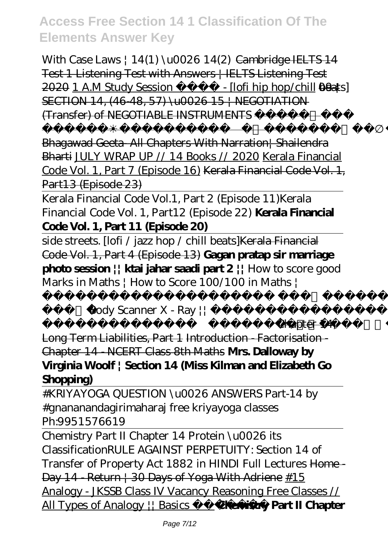*With Case Laws | 14(1) \u0026 14(2)* Cambridge IELTS 14 Test 1 Listening Test with Answers | IELTS Listening Test  $2020$  1 A.M Study Session - [lofi hip hop/chill beats] $9+$ SECTION 14, (46-48, 57) \u0026 15 | NEGOTIATION (Transfer) of NEGOTIABLE INSTRUMENTS -

भगवद गीता सार | संपूर्ण गीता |

Bhagawad Geeta- All Chapters With Narration Shailendra Bharti JULY WRAP UP // 14 Books // 2020 Kerala Financial Code Vol. 1, Part 7 (Episode 16) Kerala Financial Code Vol. 1, Part13 (Episode 23)

Kerala Financial Code Vol.1, Part 2 (Episode 11)*Kerala Financial Code Vol. 1, Part12 (Episode 22)* **Kerala Financial Code Vol. 1, Part 11 (Episode 20)**

side streets. [lofi / jazz hop / chill beats]Kerala Financial Code Vol. 1, Part 4 (Episode 13) **Gagan pratap sir marriage photo session || ktai jahar saadi part 2 ||** *How to score good Marks in Maths | How to Score 100/100 in Maths |*

*Body Scanner X - Ray !!* 

*को नंगा कर देगा || Undressed App* Chapter 14,

Long Term Liabilities, Part 1 Introduction - Factorisation - Chapter 14 - NCERT Class 8th Maths **Mrs. Dalloway by Virginia Woolf | Section 14 (Miss Kilman and Elizabeth Go Shopping)**

#KRIYAYOGA QUESTION \u0026 ANSWERS Part-14 by #gnananandagirimaharaj free kriyayoga classes Ph:9951576619

Chemistry Part II Chapter 14 Protein \u0026 its Classification*RULE AGAINST PERPETUITY: Section 14 of Transfer of Property Act 1882 in HINDI Full Lectures* Home - Day 14 Return | 30 Days of Yoga With Adriene #15 Analogy - JKSSB Class IV Vacancy Reasoning Free Classes // All Types of Analogy || Basics **Chemistry Part II Chapter**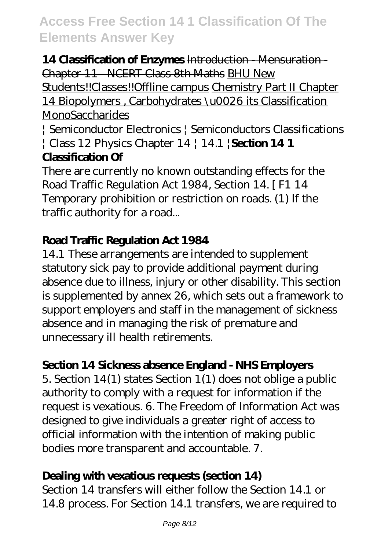**14 Classification of Enzymes** Introduction - Mensuration - Chapter 11 - NCERT Class 8th Maths BHU New Students!!Classes!!Offline campus Chemistry Part II Chapter 14 Biopolymers , Carbohydrates \u0026 its Classification **MonoSaccharides** 

| Semiconductor Electronics | Semiconductors Classifications | Class 12 Physics Chapter 14 | 14.1 |**Section 14 1 Classification Of**

There are currently no known outstanding effects for the Road Traffic Regulation Act 1984, Section 14. [ F1 14 Temporary prohibition or restriction on roads. (1) If the traffic authority for a road...

# **Road Traffic Regulation Act 1984**

14.1 These arrangements are intended to supplement statutory sick pay to provide additional payment during absence due to illness, injury or other disability. This section is supplemented by annex 26, which sets out a framework to support employers and staff in the management of sickness absence and in managing the risk of premature and unnecessary ill health retirements.

# **Section 14 Sickness absence England - NHS Employers**

5. Section 14(1) states Section 1(1) does not oblige a public authority to comply with a request for information if the request is vexatious. 6. The Freedom of Information Act was designed to give individuals a greater right of access to official information with the intention of making public bodies more transparent and accountable. 7.

# **Dealing with vexatious requests (section 14)**

Section 14 transfers will either follow the Section 14.1 or 14.8 process. For Section 14.1 transfers, we are required to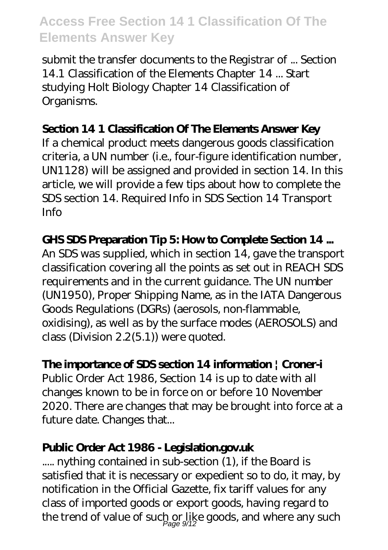submit the transfer documents to the Registrar of ... Section 14.1 Classification of the Elements Chapter 14 ... Start studying Holt Biology Chapter 14 Classification of Organisms.

## **Section 14 1 Classification Of The Elements Answer Key**

If a chemical product meets dangerous goods classification criteria, a UN number (i.e., four-figure identification number, UN1128) will be assigned and provided in section 14. In this article, we will provide a few tips about how to complete the SDS section 14. Required Info in SDS Section 14 Transport **Info** 

## **GHS SDS Preparation Tip 5: How to Complete Section 14 ...**

An SDS was supplied, which in section 14, gave the transport classification covering all the points as set out in REACH SDS requirements and in the current guidance. The UN number (UN1950), Proper Shipping Name, as in the IATA Dangerous Goods Regulations (DGRs) (aerosols, non-flammable, oxidising), as well as by the surface modes (AEROSOLS) and class (Division 2.2(5.1)) were quoted.

### **The importance of SDS section 14 information | Croner-i**

Public Order Act 1986, Section 14 is up to date with all changes known to be in force on or before 10 November 2020. There are changes that may be brought into force at a future date. Changes that...

### **Public Order Act 1986 - Legislation.gov.uk**

..... nything contained in sub-section (1), if the Board is satisfied that it is necessary or expedient so to do, it may, by notification in the Official Gazette, fix tariff values for any class of imported goods or export goods, having regard to the trend of value of such or like goods, and where any such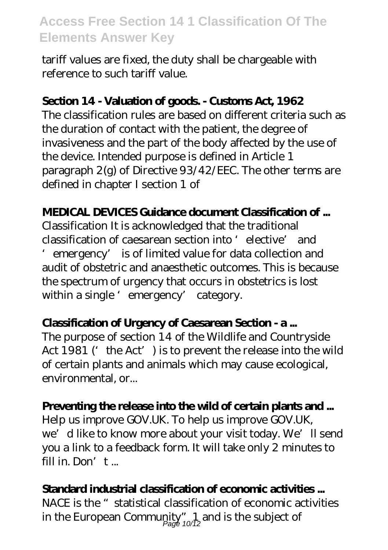tariff values are fixed, the duty shall be chargeable with reference to such tariff value.

### **Section 14 - Valuation of goods. - Customs Act, 1962**

The classification rules are based on different criteria such as the duration of contact with the patient, the degree of invasiveness and the part of the body affected by the use of the device. Intended purpose is defined in Article 1 paragraph 2(g) of Directive 93/42/EEC. The other terms are defined in chapter I section 1 of

#### **MEDICAL DEVICES Guidance document Classification of ...**

Classification It is acknowledged that the traditional classification of caesarean section into 'elective' and 'emergency' is of limited value for data collection and audit of obstetric and anaesthetic outcomes. This is because the spectrum of urgency that occurs in obstetrics is lost within a single 'emergency' category.

#### **Classification of Urgency of Caesarean Section - a ...**

The purpose of section 14 of the Wildlife and Countryside Act 1981 ('the Act') is to prevent the release into the wild of certain plants and animals which may cause ecological, environmental, or...

#### **Preventing the release into the wild of certain plants and ...**

Help us improve GOV.UK. To help us improve GOV.UK, we'd like to know more about your visit today. We'll send you a link to a feedback form. It will take only 2 minutes to fill in. Don't  $\ldots$ 

#### **Standard industrial classification of economic activities ...**

NACE is the "statistical classification of economic activities in the European Community",  $\frac{1}{\text{Page 10/12}}$  and is the subject of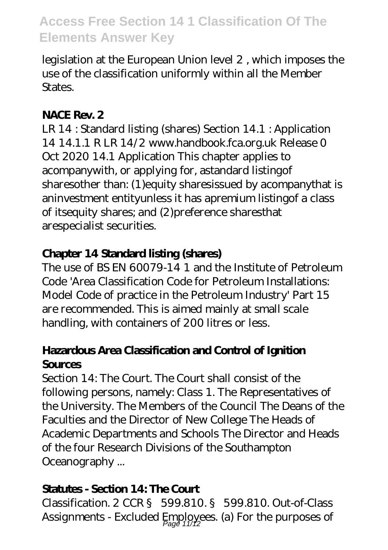legislation at the European Union level 2 , which imposes the use of the classification uniformly within all the Member States.

### **NACE Rev. 2**

LR 14 : Standard listing (shares) Section 14.1 : Application 14 14.1.1 R LR 14/2 www.handbook.fca.org.uk Release 0 Oct 2020 14.1 Application This chapter applies to acompanywith, or applying for, astandard listingof sharesother than: (1)equity sharesissued by acompanythat is aninvestment entityunless it has apremium listingof a class of itsequity shares; and (2)preference sharesthat arespecialist securities.

# **Chapter 14 Standard listing (shares)**

The use of BS EN 60079-14 1 and the Institute of Petroleum Code 'Area Classification Code for Petroleum Installations: Model Code of practice in the Petroleum Industry' Part 15 are recommended. This is aimed mainly at small scale handling, with containers of 200 litres or less.

## **Hazardous Area Classification and Control of Ignition Sources**

Section 14: The Court. The Court shall consist of the following persons, namely: Class 1. The Representatives of the University. The Members of the Council The Deans of the Faculties and the Director of New College The Heads of Academic Departments and Schools The Director and Heads of the four Research Divisions of the Southampton Oceanography ...

# **Statutes - Section 14: The Court**

Classification. 2 CCR § 599.810. § 599.810. Out-of-Class Assignments - Excluded Employees. (a) For the purposes of